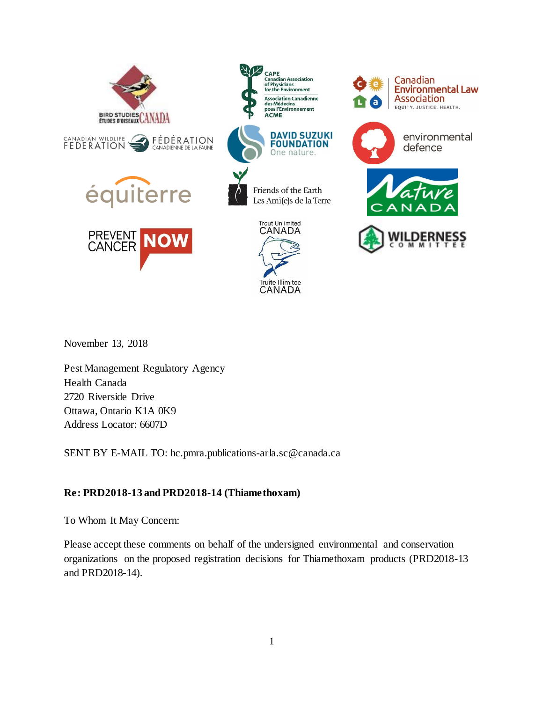

November 13, 2018

Pest Management Regulatory Agency Health Canada 2720 Riverside Drive Ottawa, Ontario K1A 0K9 Address Locator: 6607D

SENT BY E-MAIL TO: hc.pmra.publications-arla.sc@canada.ca

## **Re: PRD2018-13 and PRD2018-14 (Thiamethoxam)**

To Whom It May Concern:

Please accept these comments on behalf of the undersigned environmental and conservation organizations on the proposed registration decisions for Thiamethoxam products (PRD2018-13 and PRD2018-14).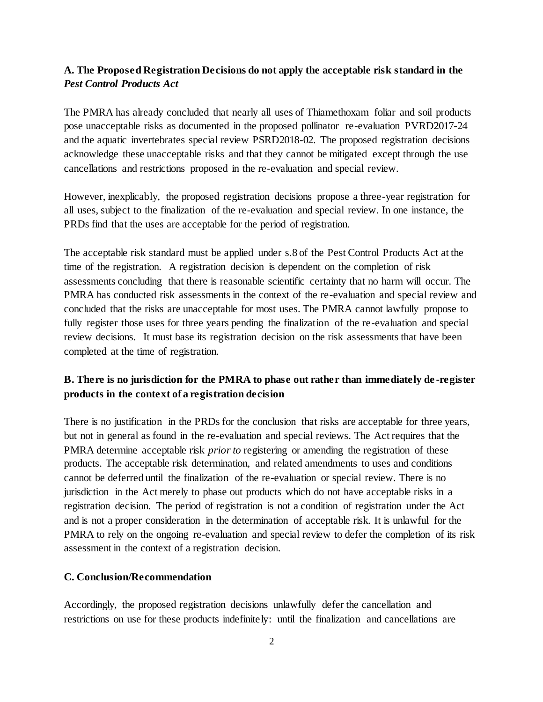## **A. The Proposed Registration Decisions do not apply the acceptable risk standard in the**  *Pest Control Products Act*

The PMRA has already concluded that nearly all uses of Thiamethoxam foliar and soil products pose unacceptable risks as documented in the proposed pollinator re-evaluation PVRD2017-24 and the aquatic invertebrates special review PSRD2018-02. The proposed registration decisions acknowledge these unacceptable risks and that they cannot be mitigated except through the use cancellations and restrictions proposed in the re-evaluation and special review.

However, inexplicably, the proposed registration decisions propose a three-year registration for all uses, subject to the finalization of the re-evaluation and special review. In one instance, the PRDs find that the uses are acceptable for the period of registration.

The acceptable risk standard must be applied under s.8 of the Pest Control Products Act at the time of the registration. A registration decision is dependent on the completion of risk assessments concluding that there is reasonable scientific certainty that no harm will occur. The PMRA has conducted risk assessments in the context of the re-evaluation and special review and concluded that the risks are unacceptable for most uses. The PMRA cannot lawfully propose to fully register those uses for three years pending the finalization of the re-evaluation and special review decisions. It must base its registration decision on the risk assessments that have been completed at the time of registration.

## **B. There is no jurisdiction for the PMRA to phase out rather than immediately de -register products in the context of a registration decision**

There is no justification in the PRDs for the conclusion that risks are acceptable for three years, but not in general as found in the re-evaluation and special reviews. The Act requires that the PMRA determine acceptable risk *prior to* registering or amending the registration of these products. The acceptable risk determination, and related amendments to uses and conditions cannot be deferred until the finalization of the re-evaluation or special review. There is no jurisdiction in the Act merely to phase out products which do not have acceptable risks in a registration decision. The period of registration is not a condition of registration under the Act and is not a proper consideration in the determination of acceptable risk. It is unlawful for the PMRA to rely on the ongoing re-evaluation and special review to defer the completion of its risk assessment in the context of a registration decision.

## **C. Conclusion/Recommendation**

Accordingly, the proposed registration decisions unlawfully defer the cancellation and restrictions on use for these products indefinitely: until the finalization and cancellations are